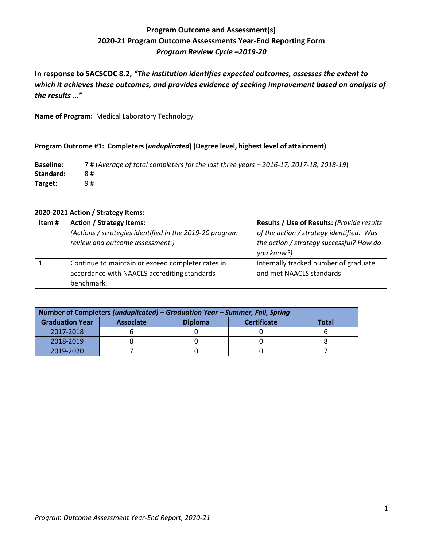# **Program Outcome and Assessment(s) 2020-21 Program Outcome Assessments Year-End Reporting Form** *Program Review Cycle –2019-20*

**In response to SACSCOC 8.2,** *"The institution identifies expected outcomes, assesses the extent to which it achieves these outcomes, and provides evidence of seeking improvement based on analysis of the results …"*

**Name of Program:** Medical Laboratory Technology

# **Program Outcome #1: Completers (***unduplicated***) (Degree level, highest level of attainment)**

**Baseline:** 7 # (*Average of total completers for the last three years – 2016-17; 2017-18; 2018-19*) **Standard:** 8 # **Target:** 9 #

#### **2020-2021 Action / Strategy Items:**

| Item# | <b>Action / Strategy Items:</b>                         | Results / Use of Results: (Provide results |
|-------|---------------------------------------------------------|--------------------------------------------|
|       | (Actions / strategies identified in the 2019-20 program | of the action / strategy identified. Was   |
|       | review and outcome assessment.)                         | the action / strategy successful? How do   |
|       |                                                         | you know?)                                 |
|       | Continue to maintain or exceed completer rates in       | Internally tracked number of graduate      |
|       | accordance with NAACLS accrediting standards            | and met NAACLS standards                   |
|       | benchmark.                                              |                                            |

| Number of Completers (unduplicated) – Graduation Year – Summer, Fall, Spring |                  |                |                    |       |
|------------------------------------------------------------------------------|------------------|----------------|--------------------|-------|
| <b>Graduation Year</b>                                                       | <b>Associate</b> | <b>Diploma</b> | <b>Certificate</b> | Total |
| 2017-2018                                                                    |                  |                |                    |       |
| 2018-2019                                                                    |                  |                |                    |       |
| 2019-2020                                                                    |                  |                |                    |       |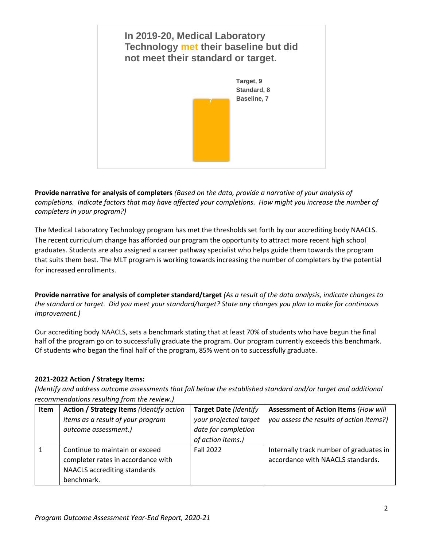

**Provide narrative for analysis of completers** *(Based on the data, provide a narrative of your analysis of completions. Indicate factors that may have affected your completions. How might you increase the number of completers in your program?)*

The Medical Laboratory Technology program has met the thresholds set forth by our accrediting body NAACLS. The recent curriculum change has afforded our program the opportunity to attract more recent high school graduates. Students are also assigned a career pathway specialist who helps guide them towards the program that suits them best. The MLT program is working towards increasing the number of completers by the potential for increased enrollments.

**Provide narrative for analysis of completer standard/target** *(As a result of the data analysis, indicate changes to the standard or target. Did you meet your standard/target? State any changes you plan to make for continuous improvement.)*

Our accrediting body NAACLS, sets a benchmark stating that at least 70% of students who have begun the final half of the program go on to successfully graduate the program. Our program currently exceeds this benchmark. Of students who began the final half of the program, 85% went on to successfully graduate.

# **2021-2022 Action / Strategy Items:**

*(Identify and address outcome assessments that fall below the established standard and/or target and additional recommendations resulting from the review.)*

| Item | Action / Strategy Items (Identify action<br>items as a result of your program<br>outcome assessment.)                     | <b>Target Date (Identify</b><br>your projected target<br>date for completion | <b>Assessment of Action Items (How will</b><br>you assess the results of action items?) |
|------|---------------------------------------------------------------------------------------------------------------------------|------------------------------------------------------------------------------|-----------------------------------------------------------------------------------------|
|      |                                                                                                                           | of action items.)                                                            |                                                                                         |
|      | Continue to maintain or exceed<br>completer rates in accordance with<br><b>NAACLS</b> accrediting standards<br>benchmark. | <b>Fall 2022</b>                                                             | Internally track number of graduates in<br>accordance with NAACLS standards.            |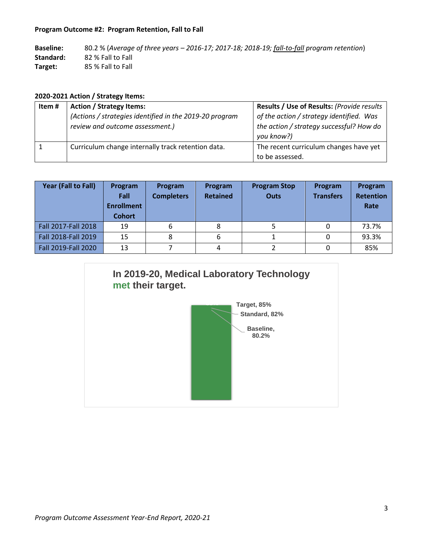#### **Program Outcome #2: Program Retention, Fall to Fall**

**Baseline:** 80.2 % (*Average of three years – 2016-17; 2017-18; 2018-19; fall-to-fall program retention*) **Standard:** 82 % Fall to Fall **Target:** 85 % Fall to Fall

# **2020-2021 Action / Strategy Items:**

| Item# | <b>Action / Strategy Items:</b>                         | Results / Use of Results: (Provide results |
|-------|---------------------------------------------------------|--------------------------------------------|
|       | (Actions / strategies identified in the 2019-20 program | of the action / strategy identified. Was   |
|       | review and outcome assessment.)                         | the action / strategy successful? How do   |
|       |                                                         | you know?)                                 |
|       | Curriculum change internally track retention data.      | The recent curriculum changes have yet     |
|       |                                                         | to be assessed.                            |

| Year (Fall to Fall) | Program<br>Fall<br><b>Enrollment</b><br><b>Cohort</b> | Program<br><b>Completers</b> | Program<br><b>Retained</b> | <b>Program Stop</b><br><b>Outs</b> | Program<br><b>Transfers</b> | Program<br><b>Retention</b><br>Rate |
|---------------------|-------------------------------------------------------|------------------------------|----------------------------|------------------------------------|-----------------------------|-------------------------------------|
| Fall 2017-Fall 2018 | 19                                                    | 6                            | 8                          |                                    |                             | 73.7%                               |
| Fall 2018-Fall 2019 | 15                                                    | 8                            | 6                          |                                    |                             | 93.3%                               |
| Fall 2019-Fall 2020 | 13                                                    |                              | 4                          |                                    |                             | 85%                                 |

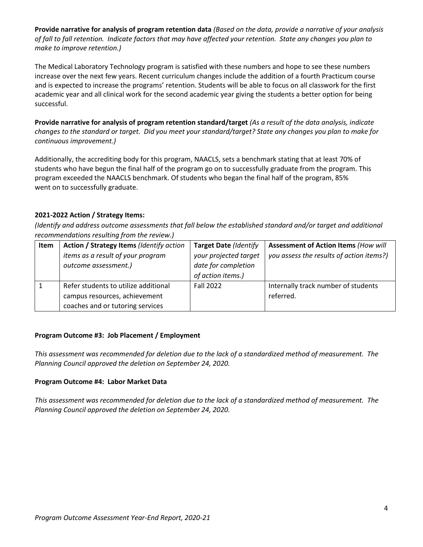**Provide narrative for analysis of program retention data** *(Based on the data, provide a narrative of your analysis of fall to fall retention. Indicate factors that may have affected your retention. State any changes you plan to make to improve retention.)*

The Medical Laboratory Technology program is satisfied with these numbers and hope to see these numbers increase over the next few years. Recent curriculum changes include the addition of a fourth Practicum course and is expected to increase the programs' retention. Students will be able to focus on all classwork for the first academic year and all clinical work for the second academic year giving the students a better option for being successful.

**Provide narrative for analysis of program retention standard/target** *(As a result of the data analysis, indicate changes to the standard or target. Did you meet your standard/target? State any changes you plan to make for continuous improvement.)*

Additionally, the accrediting body for this program, NAACLS, sets a benchmark stating that at least 70% of students who have begun the final half of the program go on to successfully graduate from the program. This program exceeded the NAACLS benchmark. Of students who began the final half of the program, 85% went on to successfully graduate.

# **2021-2022 Action / Strategy Items:**

*(Identify and address outcome assessments that fall below the established standard and/or target and additional recommendations resulting from the review.)*

| Item | Action / Strategy Items (Identify action | Target Date (Identify | <b>Assessment of Action Items (How will</b> |
|------|------------------------------------------|-----------------------|---------------------------------------------|
|      | items as a result of your program        | your projected target | you assess the results of action items?)    |
|      | outcome assessment.)                     | date for completion   |                                             |
|      |                                          | of action items.)     |                                             |
|      | Refer students to utilize additional     | <b>Fall 2022</b>      | Internally track number of students         |
|      | campus resources, achievement            |                       | referred.                                   |
|      | coaches and or tutoring services         |                       |                                             |

#### **Program Outcome #3: Job Placement / Employment**

*This assessment was recommended for deletion due to the lack of a standardized method of measurement. The Planning Council approved the deletion on September 24, 2020.*

#### **Program Outcome #4: Labor Market Data**

*This assessment was recommended for deletion due to the lack of a standardized method of measurement. The Planning Council approved the deletion on September 24, 2020.*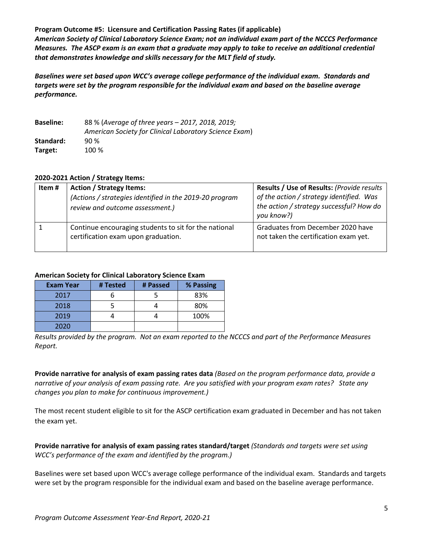**Program Outcome #5: Licensure and Certification Passing Rates (if applicable)** 

*American Society of Clinical Laboratory Science Exam; not an individual exam part of the NCCCS Performance Measures. The ASCP exam is an exam that a graduate may apply to take to receive an additional credential that demonstrates knowledge and skills necessary for the MLT field of study.* 

*Baselines were set based upon WCC's average college performance of the individual exam. Standards and targets were set by the program responsible for the individual exam and based on the baseline average performance.*

**Baseline:** 88 % (*Average of three years – 2017, 2018, 2019; American Society for Clinical Laboratory Science Exam*) **Standard:** 90 % **Target:** 100 %

# **2020-2021 Action / Strategy Items:**

| Item# | <b>Action / Strategy Items:</b><br>(Actions / strategies identified in the 2019-20 program<br>review and outcome assessment.) | Results / Use of Results: (Provide results<br>of the action / strategy identified. Was<br>the action / strategy successful? How do<br>you know?) |
|-------|-------------------------------------------------------------------------------------------------------------------------------|--------------------------------------------------------------------------------------------------------------------------------------------------|
|       | Continue encouraging students to sit for the national<br>certification exam upon graduation.                                  | Graduates from December 2020 have<br>not taken the certification exam yet.                                                                       |

#### **American Society for Clinical Laboratory Science Exam**

| <b>Exam Year</b> | # Tested | # Passed | % Passing |
|------------------|----------|----------|-----------|
| 2017             |          |          | 83%       |
| 2018             |          |          | 80%       |
| 2019             |          |          | 100%      |
| 2020             |          |          |           |

*Results provided by the program. Not an exam reported to the NCCCS and part of the Performance Measures Report.* 

**Provide narrative for analysis of exam passing rates data** *(Based on the program performance data, provide a narrative of your analysis of exam passing rate. Are you satisfied with your program exam rates? State any changes you plan to make for continuous improvement.)*

The most recent student eligible to sit for the ASCP certification exam graduated in December and has not taken the exam yet.

**Provide narrative for analysis of exam passing rates standard/target** *(Standards and targets were set using WCC's performance of the exam and identified by the program.)*

Baselines were set based upon WCC's average college performance of the individual exam. Standards and targets were set by the program responsible for the individual exam and based on the baseline average performance.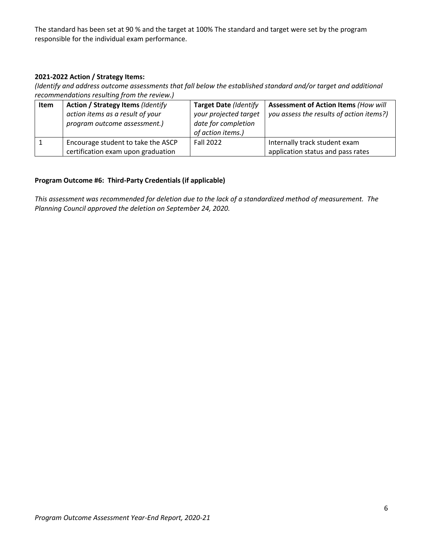The standard has been set at 90 % and the target at 100% The standard and target were set by the program responsible for the individual exam performance.

# **2021-2022 Action / Strategy Items:**

*(Identify and address outcome assessments that fall below the established standard and/or target and additional recommendations resulting from the review.)*

| Item | <b>Action / Strategy Items (Identify</b><br>action items as a result of your<br>program outcome assessment.) | <b>Target Date (Identify</b><br>your projected target<br>date for completion<br>of action items.) | <b>Assessment of Action Items (How will</b><br>you assess the results of action items?) |
|------|--------------------------------------------------------------------------------------------------------------|---------------------------------------------------------------------------------------------------|-----------------------------------------------------------------------------------------|
|      | Encourage student to take the ASCP<br>certification exam upon graduation                                     | <b>Fall 2022</b>                                                                                  | Internally track student exam<br>application status and pass rates                      |

# **Program Outcome #6: Third-Party Credentials (if applicable)**

*This assessment was recommended for deletion due to the lack of a standardized method of measurement. The Planning Council approved the deletion on September 24, 2020.*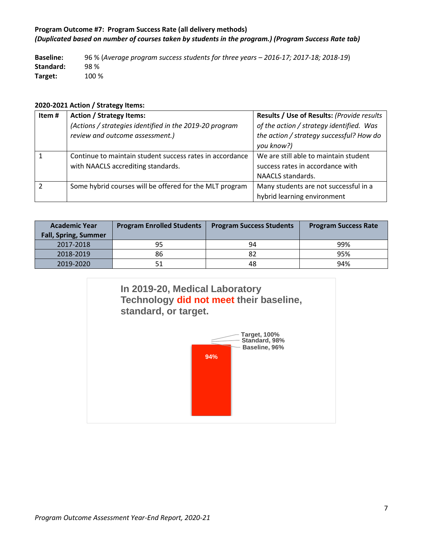# **Program Outcome #7: Program Success Rate (all delivery methods)**  *(Duplicated based on number of courses taken by students in the program.) (Program Success Rate tab)*

**Baseline:** 96 % (*Average program success students for three years – 2016-17; 2017-18; 2018-19*) **Standard:** 98 % **Target:** 100 %

#### **2020-2021 Action / Strategy Items:**

| Item # | <b>Action / Strategy Items:</b>                          | Results / Use of Results: (Provide results |
|--------|----------------------------------------------------------|--------------------------------------------|
|        | (Actions / strategies identified in the 2019-20 program  | of the action / strategy identified. Was   |
|        | review and outcome assessment.)                          | the action / strategy successful? How do   |
|        |                                                          | you know?)                                 |
|        | Continue to maintain student success rates in accordance | We are still able to maintain student      |
|        | with NAACLS accrediting standards.                       | success rates in accordance with           |
|        |                                                          | NAACLS standards.                          |
|        | Some hybrid courses will be offered for the MLT program  | Many students are not successful in a      |
|        |                                                          | hybrid learning environment                |

| <b>Academic Year</b>        | <b>Program Enrolled Students</b> | <b>Program Success Students</b> | <b>Program Success Rate</b> |
|-----------------------------|----------------------------------|---------------------------------|-----------------------------|
| <b>Fall, Spring, Summer</b> |                                  |                                 |                             |
| 2017-2018                   | 95                               | 94                              | 99%                         |
| 2018-2019                   | 86                               | 82                              | 95%                         |
| 2019-2020                   | 51                               | 48                              | 94%                         |

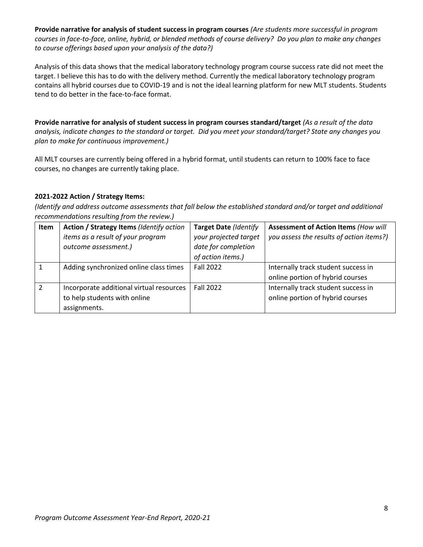**Provide narrative for analysis of student success in program courses** *(Are students more successful in program courses in face-to-face, online, hybrid, or blended methods of course delivery? Do you plan to make any changes to course offerings based upon your analysis of the data?)*

Analysis of this data shows that the medical laboratory technology program course success rate did not meet the target. I believe this has to do with the delivery method. Currently the medical laboratory technology program contains all hybrid courses due to COVID-19 and is not the ideal learning platform for new MLT students. Students tend to do better in the face-to-face format.

**Provide narrative for analysis of student success in program courses standard/target** *(As a result of the data analysis, indicate changes to the standard or target. Did you meet your standard/target? State any changes you plan to make for continuous improvement.)*

All MLT courses are currently being offered in a hybrid format, until students can return to 100% face to face courses, no changes are currently taking place.

# **2021-2022 Action / Strategy Items:**

*(Identify and address outcome assessments that fall below the established standard and/or target and additional recommendations resulting from the review.)*

| Item | Action / Strategy Items (Identify action<br>items as a result of your program<br>outcome assessment.) | <b>Target Date (Identify</b><br>your projected target<br>date for completion<br>of action items.) | <b>Assessment of Action Items (How will</b><br>you assess the results of action items?) |
|------|-------------------------------------------------------------------------------------------------------|---------------------------------------------------------------------------------------------------|-----------------------------------------------------------------------------------------|
|      | Adding synchronized online class times                                                                | <b>Fall 2022</b>                                                                                  | Internally track student success in<br>online portion of hybrid courses                 |
|      | Incorporate additional virtual resources<br>to help students with online<br>assignments.              | <b>Fall 2022</b>                                                                                  | Internally track student success in<br>online portion of hybrid courses                 |